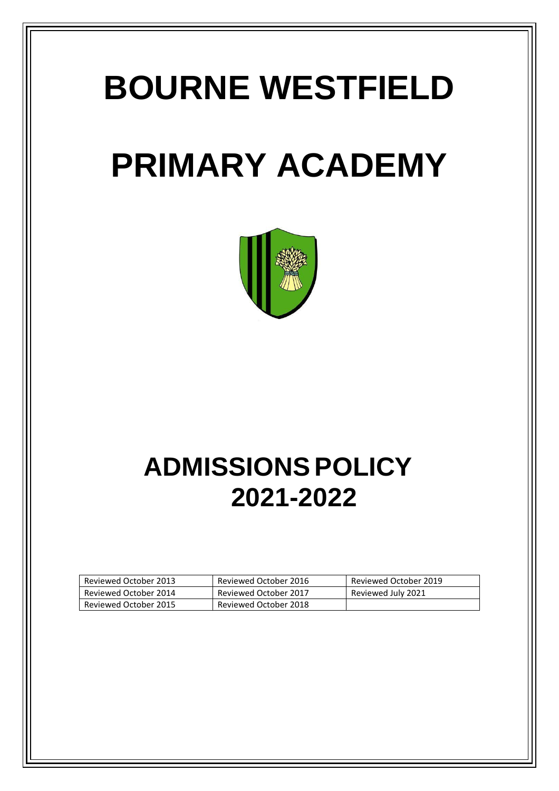# **BOURNE WESTFIELD**

# **PRIMARY ACADEMY**



# **ADMISSIONS POLICY 2021-2022**

| Reviewed October 2013 | Reviewed October 2016 | Reviewed October 2019 |
|-----------------------|-----------------------|-----------------------|
| Reviewed October 2014 | Reviewed October 2017 | Reviewed July 2021    |
| Reviewed October 2015 | Reviewed October 2018 |                       |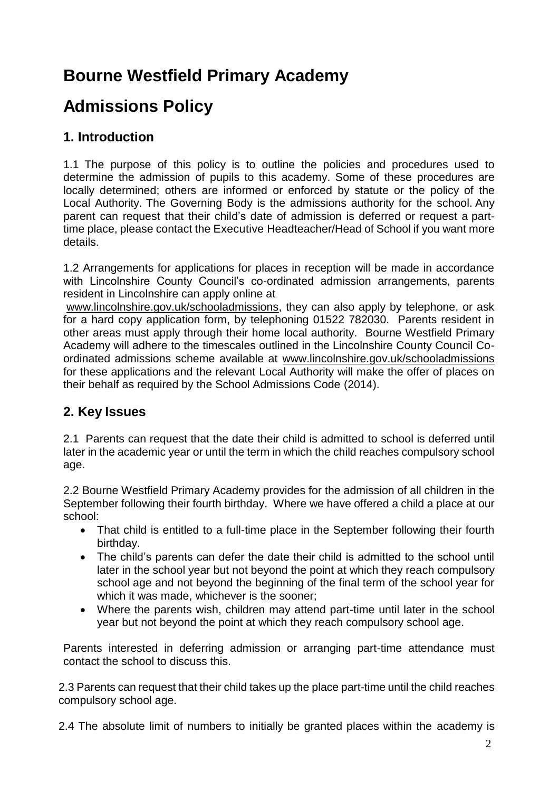# **Bourne Westfield Primary Academy**

# **Admissions Policy**

## **1. Introduction**

1.1 The purpose of this policy is to outline the policies and procedures used to determine the admission of pupils to this academy. Some of these procedures are locally determined; others are informed or enforced by statute or the policy of the Local Authority. The Governing Body is the admissions authority for the school. Any parent can request that their child's date of admission is deferred or request a parttime place, please contact the Executive Headteacher/Head of School if you want more details.

1.2 Arrangements for applications for places in reception will be made in accordance with Lincolnshire County Council's co-ordinated admission arrangements, parents resident in Lincolnshire can apply online at

[www.lincolnshire.gov.uk/schooladmissions,](http://www.lincolnshire.gov.uk/schooladmissions) they can also apply by telephone, or ask for a hard copy application form, by telephoning 01522 782030. Parents resident in other areas must apply through their home local authority. Bourne Westfield Primary Academy will adhere to the timescales outlined in the Lincolnshire County Council Coordinated admissions scheme available at [www.lincolnshire.gov.uk/schooladmissions](http://www.lincolnshire.gov.uk/schooladmissions) for these applications and the relevant Local Authority will make the offer of places on their behalf as required by the School Admissions Code (2014).

### **2. Key Issues**

2.1 Parents can request that the date their child is admitted to school is deferred until later in the academic year or until the term in which the child reaches compulsory school age.

2.2 Bourne Westfield Primary Academy provides for the admission of all children in the September following their fourth birthday. Where we have offered a child a place at our school:

- That child is entitled to a full-time place in the September following their fourth birthday.
- The child's parents can defer the date their child is admitted to the school until later in the school year but not beyond the point at which they reach compulsory school age and not beyond the beginning of the final term of the school year for which it was made, whichever is the sooner;
- Where the parents wish, children may attend part-time until later in the school year but not beyond the point at which they reach compulsory school age.

Parents interested in deferring admission or arranging part-time attendance must contact the school to discuss this.

2.3 Parents can request that their child takes up the place part-time until the child reaches compulsory school age.

2.4 The absolute limit of numbers to initially be granted places within the academy is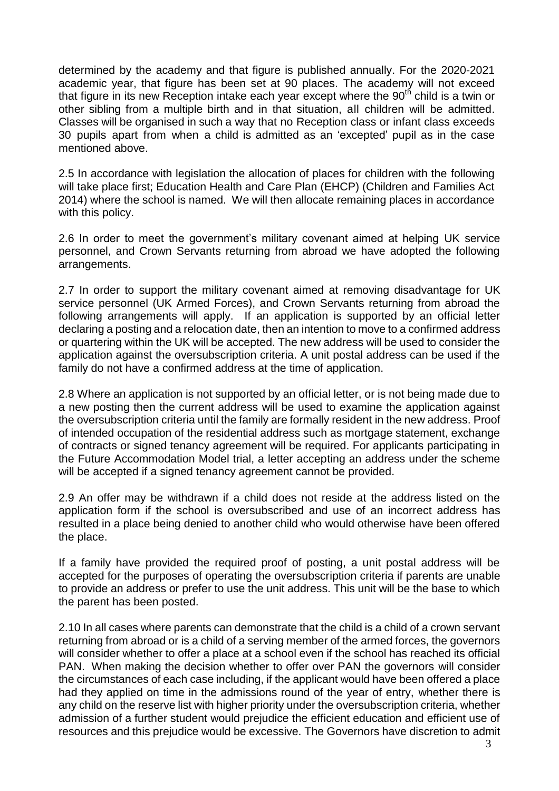determined by the academy and that figure is published annually. For the 2020-2021 academic year, that figure has been set at 90 places. The academy will not exceed that figure in its new Reception intake each year except where the 90<sup>th</sup> child is a twin or other sibling from a multiple birth and in that situation, all children will be admitted. Classes will be organised in such a way that no Reception class or infant class exceeds 30 pupils apart from when a child is admitted as an 'excepted' pupil as in the case mentioned above.

2.5 In accordance with legislation the allocation of places for children with the following will take place first; Education Health and Care Plan (EHCP) (Children and Families Act 2014) where the school is named. We will then allocate remaining places in accordance with this policy.

2.6 In order to meet the government's military covenant aimed at helping UK service personnel, and Crown Servants returning from abroad we have adopted the following arrangements.

2.7 In order to support the military covenant aimed at removing disadvantage for UK service personnel (UK Armed Forces), and Crown Servants returning from abroad the following arrangements will apply. If an application is supported by an official letter declaring a posting and a relocation date, then an intention to move to a confirmed address or quartering within the UK will be accepted. The new address will be used to consider the application against the oversubscription criteria. A unit postal address can be used if the family do not have a confirmed address at the time of application.

2.8 Where an application is not supported by an official letter, or is not being made due to a new posting then the current address will be used to examine the application against the oversubscription criteria until the family are formally resident in the new address. Proof of intended occupation of the residential address such as mortgage statement, exchange of contracts or signed tenancy agreement will be required. For applicants participating in the Future Accommodation Model trial, a letter accepting an address under the scheme will be accepted if a signed tenancy agreement cannot be provided.

2.9 An offer may be withdrawn if a child does not reside at the address listed on the application form if the school is oversubscribed and use of an incorrect address has resulted in a place being denied to another child who would otherwise have been offered the place.

If a family have provided the required proof of posting, a unit postal address will be accepted for the purposes of operating the oversubscription criteria if parents are unable to provide an address or prefer to use the unit address. This unit will be the base to which the parent has been posted.

2.10 In all cases where parents can demonstrate that the child is a child of a crown servant returning from abroad or is a child of a serving member of the armed forces, the governors will consider whether to offer a place at a school even if the school has reached its official PAN. When making the decision whether to offer over PAN the governors will consider the circumstances of each case including, if the applicant would have been offered a place had they applied on time in the admissions round of the year of entry, whether there is any child on the reserve list with higher priority under the oversubscription criteria, whether admission of a further student would prejudice the efficient education and efficient use of resources and this prejudice would be excessive. The Governors have discretion to admit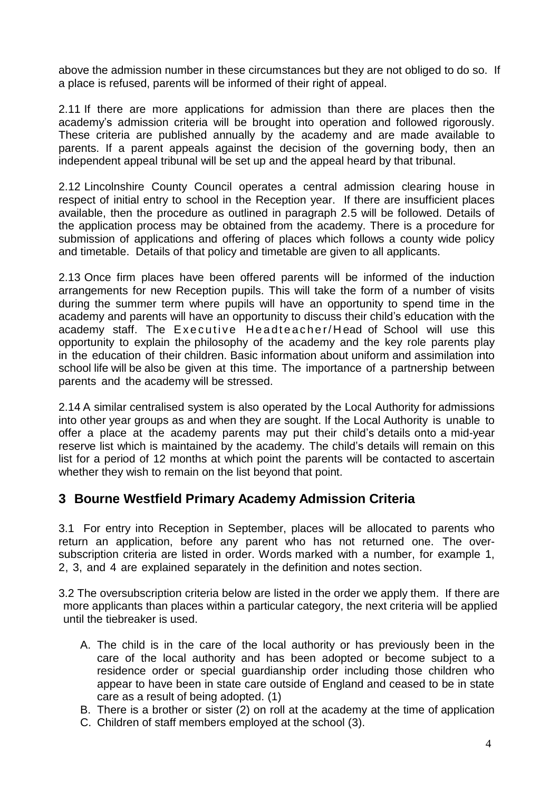above the admission number in these circumstances but they are not obliged to do so. If a place is refused, parents will be informed of their right of appeal.

2.11 If there are more applications for admission than there are places then the academy's admission criteria will be brought into operation and followed rigorously. These criteria are published annually by the academy and are made available to parents. If a parent appeals against the decision of the governing body, then an independent appeal tribunal will be set up and the appeal heard by that tribunal.

2.12 Lincolnshire County Council operates a central admission clearing house in respect of initial entry to school in the Reception year. If there are insufficient places available, then the procedure as outlined in paragraph 2.5 will be followed. Details of the application process may be obtained from the academy. There is a procedure for submission of applications and offering of places which follows a county wide policy and timetable. Details of that policy and timetable are given to all applicants.

2.13 Once firm places have been offered parents will be informed of the induction arrangements for new Reception pupils. This will take the form of a number of visits during the summer term where pupils will have an opportunity to spend time in the academy and parents will have an opportunity to discuss their child's education with the academy staff. The Executive Headteacher/Head of School will use this opportunity to explain the philosophy of the academy and the key role parents play in the education of their children. Basic information about uniform and assimilation into school life will be also be given at this time. The importance of a partnership between parents and the academy will be stressed.

2.14 A similar centralised system is also operated by the Local Authority for admissions into other year groups as and when they are sought. If the Local Authority is unable to offer a place at the academy parents may put their child's details onto a mid-year reserve list which is maintained by the academy. The child's details will remain on this list for a period of 12 months at which point the parents will be contacted to ascertain whether they wish to remain on the list beyond that point.

### **3 Bourne Westfield Primary Academy Admission Criteria**

3.1 For entry into Reception in September, places will be allocated to parents who return an application, before any parent who has not returned one. The oversubscription criteria are listed in order. Words marked with a number, for example 1, 2, 3, and 4 are explained separately in the definition and notes section.

3.2 The oversubscription criteria below are listed in the order we apply them. If there are more applicants than places within a particular category, the next criteria will be applied until the tiebreaker is used.

- A. The child is in the care of the local authority or has previously been in the care of the local authority and has been adopted or become subject to a residence order or special guardianship order including those children who appear to have been in state care outside of England and ceased to be in state care as a result of being adopted. (1)
- B. There is a brother or sister (2) on roll at the academy at the time of application
- C. Children of staff members employed at the school (3).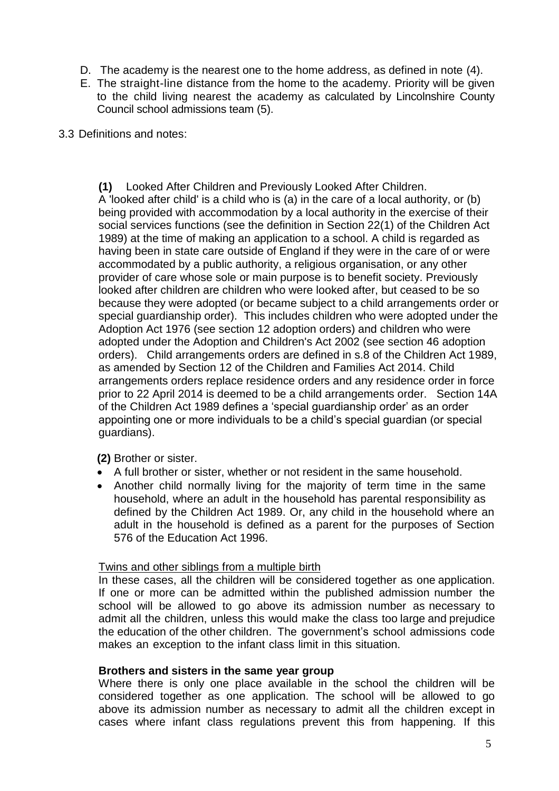- D. The academy is the nearest one to the home address, as defined in note (4).
- E. The straight-line distance from the home to the academy. Priority will be given to the child living nearest the academy as calculated by Lincolnshire County Council school admissions team (5).
- 3.3 Definitions and notes:

**(1)** Looked After Children and Previously Looked After Children. A 'looked after child' is a child who is (a) in the care of a local authority, or (b) being provided with accommodation by a local authority in the exercise of their social services functions (see the definition in Section 22(1) of the Children Act 1989) at the time of making an application to a school. A child is regarded as having been in state care outside of England if they were in the care of or were accommodated by a public authority, a religious organisation, or any other provider of care whose sole or main purpose is to benefit society. Previously looked after children are children who were looked after, but ceased to be so because they were adopted (or became subject to a child arrangements order or special guardianship order). This includes children who were adopted under the Adoption Act 1976 (see section 12 adoption orders) and children who were adopted under the Adoption and Children's Act 2002 (see section 46 adoption orders). Child arrangements orders are defined in s.8 of the Children Act 1989, as amended by Section 12 of the Children and Families Act 2014. Child arrangements orders replace residence orders and any residence order in force prior to 22 April 2014 is deemed to be a child arrangements order. Section 14A of the Children Act 1989 defines a 'special guardianship order' as an order appointing one or more individuals to be a child's special guardian (or special guardians).

#### **(2)** Brother or sister.

- A full brother or sister, whether or not resident in the same household.
- Another child normally living for the majority of term time in the same household, where an adult in the household has parental responsibility as defined by the Children Act 1989. Or, any child in the household where an adult in the household is defined as a parent for the purposes of Section 576 of the Education Act 1996.

#### Twins and other siblings from a multiple birth

In these cases, all the children will be considered together as one application. If one or more can be admitted within the published admission number the school will be allowed to go above its admission number as necessary to admit all the children, unless this would make the class too large and prejudice the education of the other children. The government's school admissions code makes an exception to the infant class limit in this situation.

#### **Brothers and sisters in the same year group**

Where there is only one place available in the school the children will be considered together as one application. The school will be allowed to go above its admission number as necessary to admit all the children except in cases where infant class regulations prevent this from happening. If this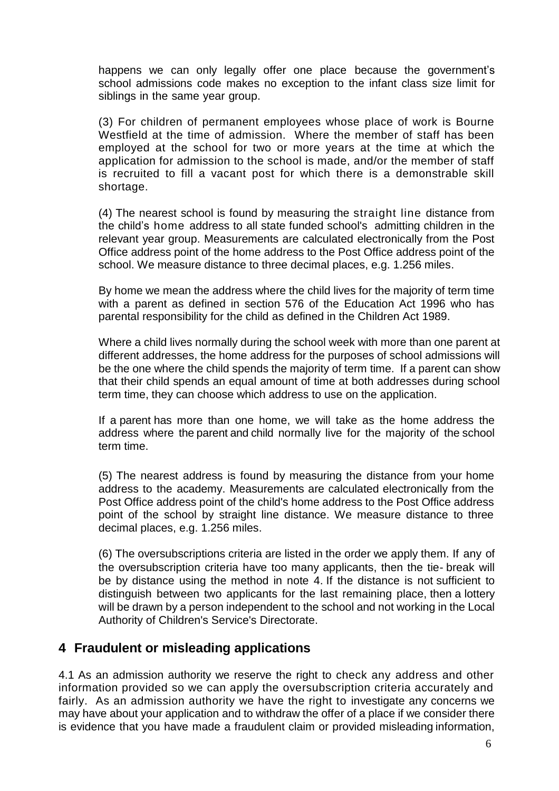happens we can only legally offer one place because the government's school admissions code makes no exception to the infant class size limit for siblings in the same year group.

(3) For children of permanent employees whose place of work is Bourne Westfield at the time of admission. Where the member of staff has been employed at the school for two or more years at the time at which the application for admission to the school is made, and/or the member of staff is recruited to fill a vacant post for which there is a demonstrable skill shortage.

(4) The nearest school is found by measuring the straight line distance from the child's home address to all state funded school's admitting children in the relevant year group. Measurements are calculated electronically from the Post Office address point of the home address to the Post Office address point of the school. We measure distance to three decimal places, e.g. 1.256 miles.

By home we mean the address where the child lives for the majority of term time with a parent as defined in section 576 of the Education Act 1996 who has parental responsibility for the child as defined in the Children Act 1989.

Where a child lives normally during the school week with more than one parent at different addresses, the home address for the purposes of school admissions will be the one where the child spends the majority of term time. If a parent can show that their child spends an equal amount of time at both addresses during school term time, they can choose which address to use on the application.

If a parent has more than one home, we will take as the home address the address where the parent and child normally live for the majority of the school term time.

(5) The nearest address is found by measuring the distance from your home address to the academy. Measurements are calculated electronically from the Post Office address point of the child's home address to the Post Office address point of the school by straight line distance. We measure distance to three decimal places, e.g. 1.256 miles.

(6) The oversubscriptions criteria are listed in the order we apply them. If any of the oversubscription criteria have too many applicants, then the tie- break will be by distance using the method in note 4. If the distance is not sufficient to distinguish between two applicants for the last remaining place, then a lottery will be drawn by a person independent to the school and not working in the Local Authority of Children's Service's Directorate.

#### **4 Fraudulent or misleading applications**

4.1 As an admission authority we reserve the right to check any address and other information provided so we can apply the oversubscription criteria accurately and fairly. As an admission authority we have the right to investigate any concerns we may have about your application and to withdraw the offer of a place if we consider there is evidence that you have made a fraudulent claim or provided misleading information,